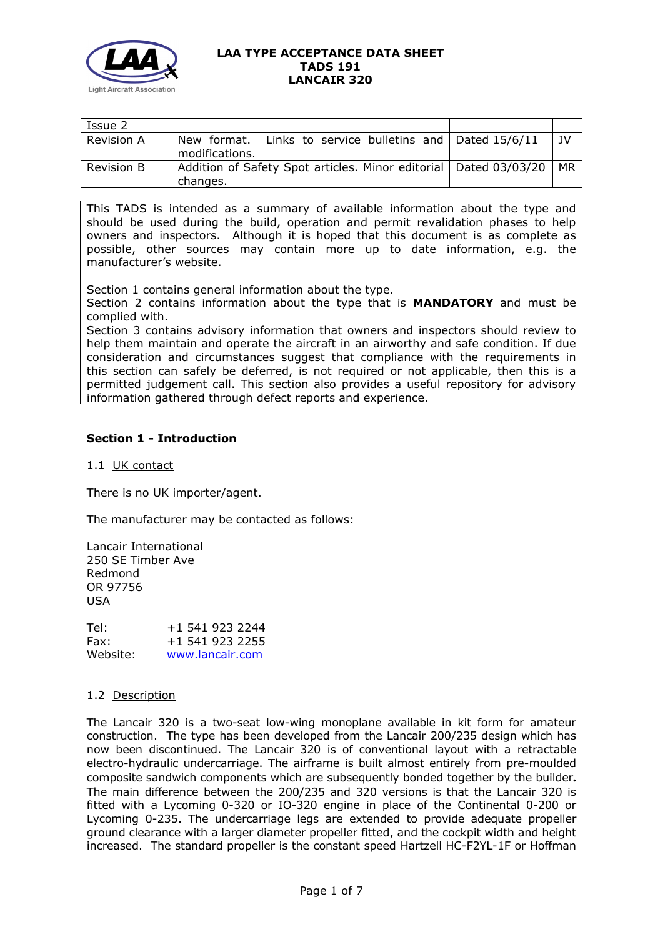

| Issue 2           |                                                                                       |    |
|-------------------|---------------------------------------------------------------------------------------|----|
| <b>Revision A</b> | Links to service bulletins and $\vert$ Dated 15/6/11<br>New format.<br>modifications. | JV |
| Revision B        | Addition of Safety Spot articles. Minor editorial   Dated 03/03/20<br>changes.        | MR |

This TADS is intended as a summary of available information about the type and should be used during the build, operation and permit revalidation phases to help owners and inspectors. Although it is hoped that this document is as complete as possible, other sources may contain more up to date information, e.g. the manufacturer's website.

Section 1 contains general information about the type.

Section 2 contains information about the type that is **MANDATORY** and must be complied with.

Section 3 contains advisory information that owners and inspectors should review to help them maintain and operate the aircraft in an airworthy and safe condition. If due consideration and circumstances suggest that compliance with the requirements in this section can safely be deferred, is not required or not applicable, then this is a permitted judgement call. This section also provides a useful repository for advisory information gathered through defect reports and experience.

## **Section 1 - Introduction**

1.1 UK contact

There is no UK importer/agent.

The manufacturer may be contacted as follows:

Lancair International 250 SE Timber Ave Redmond OR 97756 USA

| Tel:     | +1 541 923 2244 |
|----------|-----------------|
| Fax:     | +1 541 923 2255 |
| Website: | www.lancair.com |

### 1.2 Description

The Lancair 320 is a two-seat low-wing monoplane available in kit form for amateur construction. The type has been developed from the Lancair 200/235 design which has now been discontinued. The Lancair 320 is of conventional layout with a retractable electro-hydraulic undercarriage. The airframe is built almost entirely from pre-moulded composite sandwich components which are subsequently bonded together by the builder**.**  The main difference between the 200/235 and 320 versions is that the Lancair 320 is fitted with a Lycoming 0-320 or IO-320 engine in place of the Continental 0-200 or Lycoming 0-235. The undercarriage legs are extended to provide adequate propeller ground clearance with a larger diameter propeller fitted, and the cockpit width and height increased. The standard propeller is the constant speed Hartzell HC-F2YL-1F or Hoffman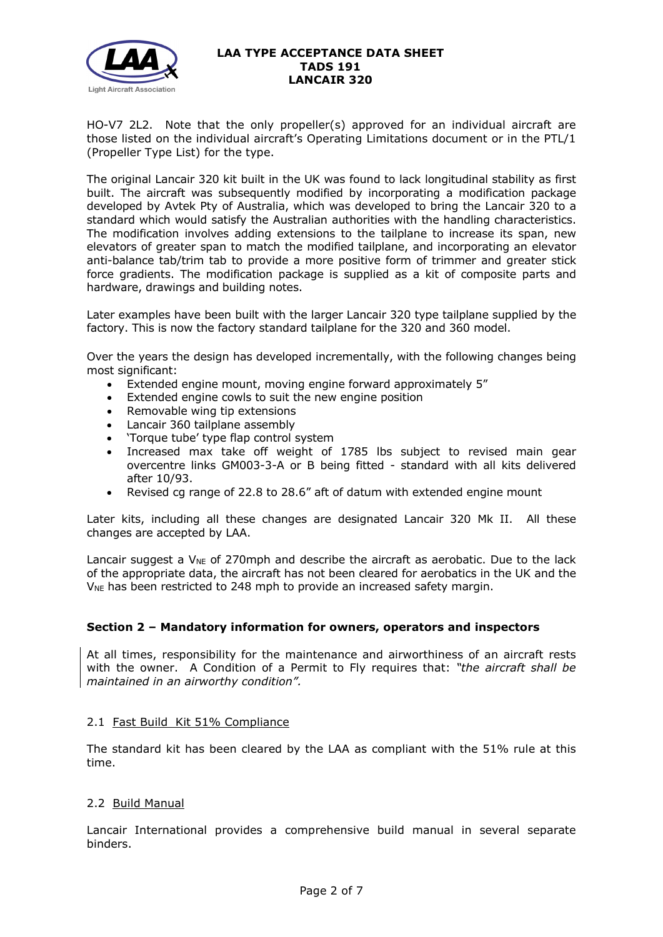

HO-V7 2L2. Note that the only propeller(s) approved for an individual aircraft are those listed on the individual aircraft's Operating Limitations document or in the PTL/1 (Propeller Type List) for the type.

The original Lancair 320 kit built in the UK was found to lack longitudinal stability as first built. The aircraft was subsequently modified by incorporating a modification package developed by Avtek Pty of Australia, which was developed to bring the Lancair 320 to a standard which would satisfy the Australian authorities with the handling characteristics. The modification involves adding extensions to the tailplane to increase its span, new elevators of greater span to match the modified tailplane, and incorporating an elevator anti-balance tab/trim tab to provide a more positive form of trimmer and greater stick force gradients. The modification package is supplied as a kit of composite parts and hardware, drawings and building notes.

Later examples have been built with the larger Lancair 320 type tailplane supplied by the factory. This is now the factory standard tailplane for the 320 and 360 model.

Over the years the design has developed incrementally, with the following changes being most significant:

- Extended engine mount, moving engine forward approximately 5"
- Extended engine cowls to suit the new engine position
- Removable wing tip extensions
- Lancair 360 tailplane assembly
- 'Torque tube' type flap control system
- Increased max take off weight of 1785 lbs subject to revised main gear overcentre links GM003-3-A or B being fitted - standard with all kits delivered after 10/93.
- Revised cg range of 22.8 to 28.6" aft of datum with extended engine mount

Later kits, including all these changes are designated Lancair 320 Mk II. All these changes are accepted by LAA.

Lancair suggest a  $V_{NE}$  of 270mph and describe the aircraft as aerobatic. Due to the lack of the appropriate data, the aircraft has not been cleared for aerobatics in the UK and the  $V_{NE}$  has been restricted to 248 mph to provide an increased safety margin.

### **Section 2 – Mandatory information for owners, operators and inspectors**

At all times, responsibility for the maintenance and airworthiness of an aircraft rests with the owner. A Condition of a Permit to Fly requires that: *"the aircraft shall be maintained in an airworthy condition".* 

### 2.1 Fast Build Kit 51% Compliance

The standard kit has been cleared by the LAA as compliant with the 51% rule at this time.

### 2.2 Build Manual

Lancair International provides a comprehensive build manual in several separate binders.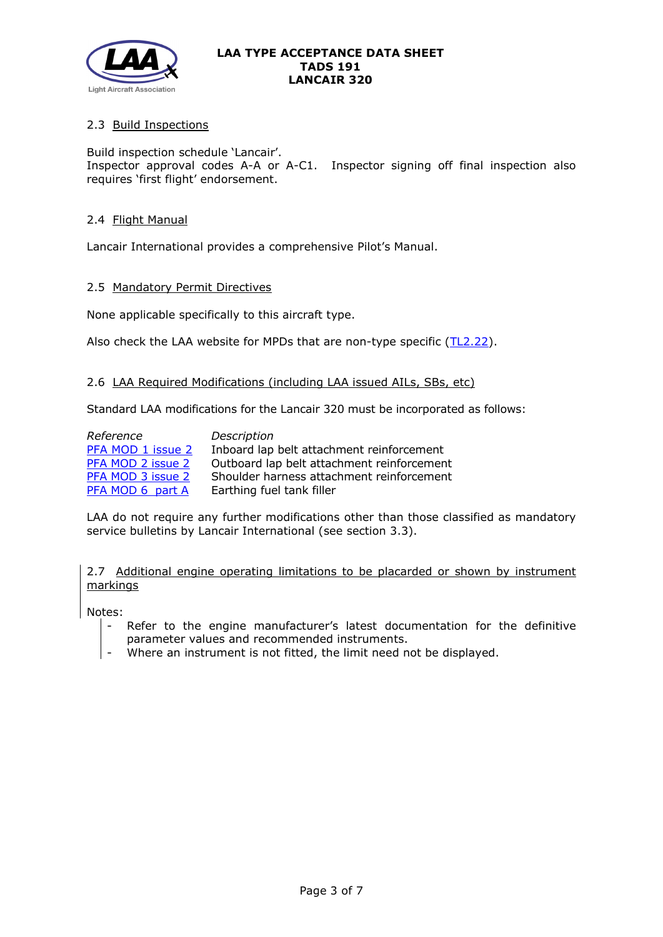

# 2.3 Build Inspections

Build inspection schedule 'Lancair'. Inspector approval codes A-A or A-C1. Inspector signing off final inspection also requires 'first flight' endorsement.

### 2.4 Flight Manual

Lancair International provides a comprehensive Pilot's Manual.

#### 2.5 Mandatory Permit Directives

None applicable specifically to this aircraft type.

Also check the LAA website for MPDs that are non-type specific [\(TL2.22\)](http://www.lightaircraftassociation.co.uk/engineering/TechnicalLeaflets/Operating%20An%20Aircraft/TL%202.22%20non-type%20specific%20MPDs.pdf).

### 2.6 LAA Required Modifications (including LAA issued AILs, SBs, etc)

Standard LAA modifications for the Lancair 320 must be incorporated as follows:

| Reference         | Description                                |
|-------------------|--------------------------------------------|
| PFA MOD 1 issue 2 | Inboard lap belt attachment reinforcement  |
| PFA MOD 2 issue 2 | Outboard lap belt attachment reinforcement |
| PFA MOD 3 issue 2 | Shoulder harness attachment reinforcement  |
| PFA MOD 6 part A  | Earthing fuel tank filler                  |

LAA do not require any further modifications other than those classified as mandatory service bulletins by Lancair International (see section 3.3).

2.7 Additional engine operating limitations to be placarded or shown by instrument markings

Notes:

- Refer to the engine manufacturer's latest documentation for the definitive parameter values and recommended instruments.
- Where an instrument is not fitted, the limit need not be displayed.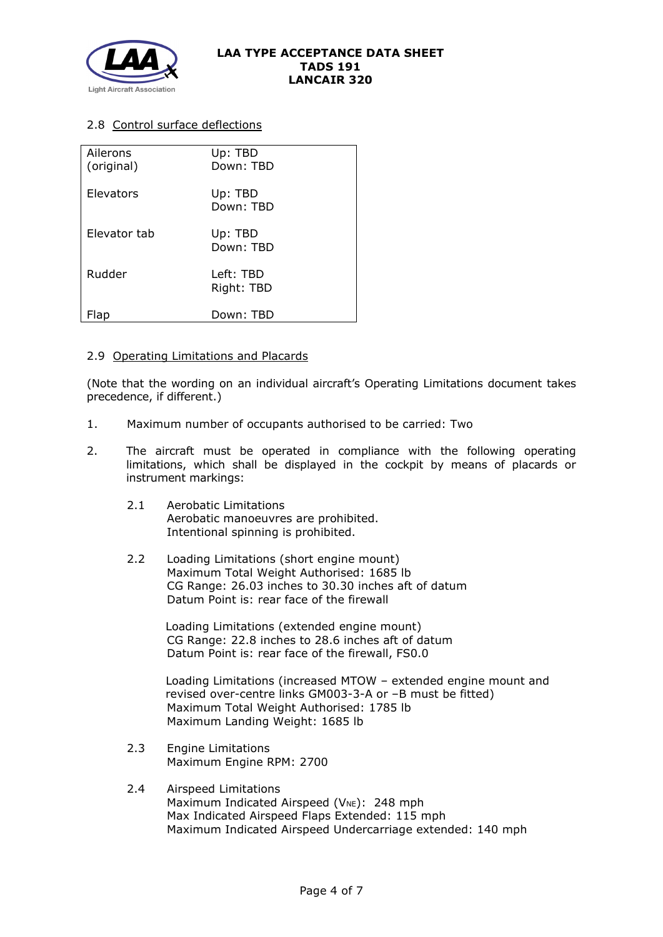

# 2.8 Control surface deflections

| Ailerons<br>(original) | Up: TBD<br>Down: TBD    |
|------------------------|-------------------------|
| Elevators              | Up: TBD<br>Down: TBD    |
| Elevator tab           | Up: TBD<br>Down: TBD    |
| Rudder                 | Left: TBD<br>Right: TBD |
| -lab                   | Down: TBD               |

### 2.9 Operating Limitations and Placards

(Note that the wording on an individual aircraft's Operating Limitations document takes precedence, if different.)

- 1. Maximum number of occupants authorised to be carried: Two
- 2. The aircraft must be operated in compliance with the following operating limitations, which shall be displayed in the cockpit by means of placards or instrument markings:
	- 2.1 Aerobatic Limitations Aerobatic manoeuvres are prohibited. Intentional spinning is prohibited.
	- 2.2 Loading Limitations (short engine mount) Maximum Total Weight Authorised: 1685 lb CG Range: 26.03 inches to 30.30 inches aft of datum Datum Point is: rear face of the firewall

Loading Limitations (extended engine mount) CG Range: 22.8 inches to 28.6 inches aft of datum Datum Point is: rear face of the firewall, FS0.0

Loading Limitations (increased MTOW – extended engine mount and revised over-centre links GM003-3-A or –B must be fitted) Maximum Total Weight Authorised: 1785 lb Maximum Landing Weight: 1685 lb

- 2.3 Engine Limitations Maximum Engine RPM: 2700
- 2.4 Airspeed Limitations Maximum Indicated Airspeed ( $V_{NE}$ ): 248 mph Max Indicated Airspeed Flaps Extended: 115 mph Maximum Indicated Airspeed Undercarriage extended: 140 mph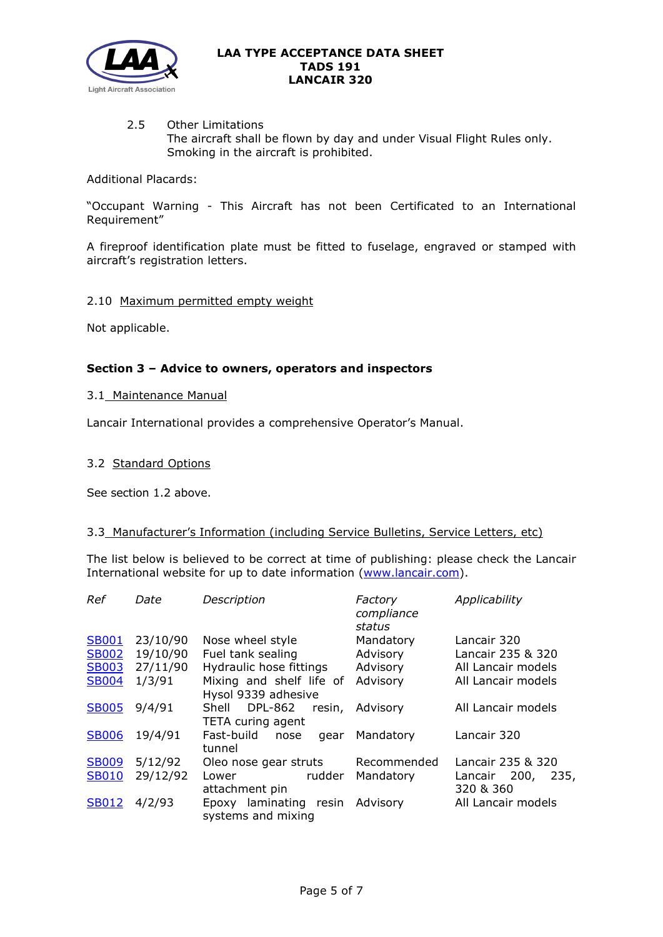

### 2.5 Other Limitations The aircraft shall be flown by day and under Visual Flight Rules only. Smoking in the aircraft is prohibited.

Additional Placards:

"Occupant Warning - This Aircraft has not been Certificated to an International Requirement"

A fireproof identification plate must be fitted to fuselage, engraved or stamped with aircraft's registration letters.

### 2.10 Maximum permitted empty weight

Not applicable.

### **Section 3 – Advice to owners, operators and inspectors**

### 3.1 Maintenance Manual

Lancair International provides a comprehensive Operator's Manual.

#### 3.2 Standard Options

See section 1.2 above.

### 3.3 Manufacturer's Information (including Service Bulletins, Service Letters, etc)

The list below is believed to be correct at time of publishing: please check the Lancair International website for up to date information [\(www.lancair.com\)](http://www.lancair.com/).

| Ref          | Date     | Description                                            | Factory<br>compliance<br>status | Applicability                     |
|--------------|----------|--------------------------------------------------------|---------------------------------|-----------------------------------|
| <b>SB001</b> | 23/10/90 | Nose wheel style                                       | Mandatory                       | Lancair 320                       |
| <b>SB002</b> | 19/10/90 | Fuel tank sealing                                      | Advisory                        | Lancair 235 & 320                 |
| <b>SB003</b> | 27/11/90 | Hydraulic hose fittings                                | Advisory                        | All Lancair models                |
| <b>SB004</b> | 1/3/91   | Mixing and shelf life of<br>Hysol 9339 adhesive        | Advisory                        | All Lancair models                |
| <b>SB005</b> | 9/4/91   | <b>DPL-862</b><br>Shell<br>resin,<br>TETA curing agent | Advisory                        | All Lancair models                |
| <b>SB006</b> | 19/4/91  | Fast-build<br>nose<br>gear<br>tunnel                   | Mandatory                       | Lancair 320                       |
| <b>SB009</b> | 5/12/92  | Oleo nose gear struts                                  | Recommended                     | Lancair 235 & 320                 |
| <b>SB010</b> | 29/12/92 | rudder<br>Lower<br>attachment pin                      | Mandatory                       | Lancair 200,<br>235,<br>320 & 360 |
| <b>SB012</b> | 4/2/93   | Epoxy laminating resin Advisory<br>systems and mixing  |                                 | All Lancair models                |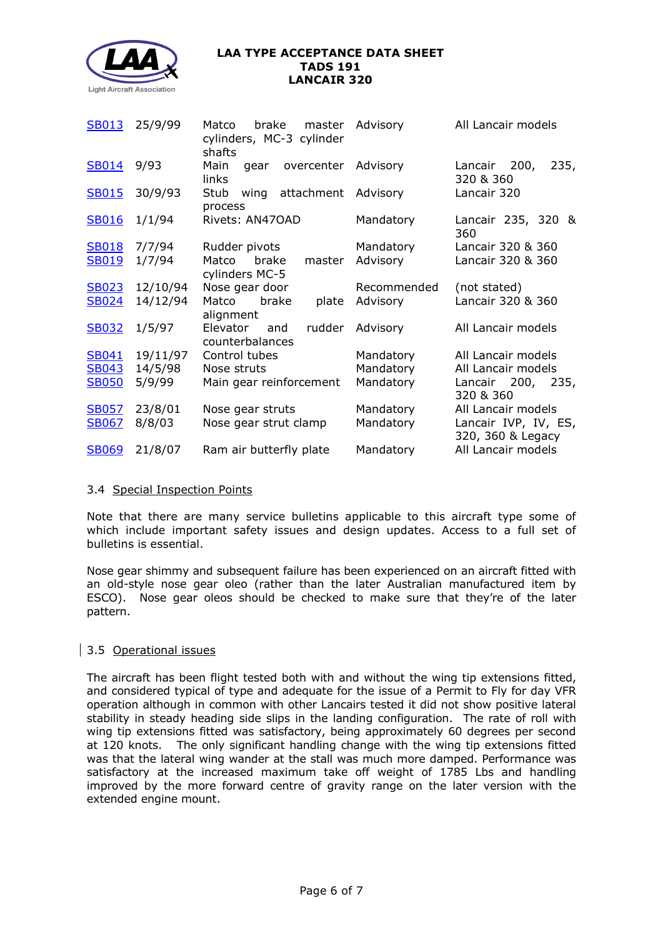

| <b>SB013</b> | 25/9/99  | brake<br>Matco<br>master<br>cylinders, MC-3 cylinder<br>shafts | Advisory    | All Lancair models                        |
|--------------|----------|----------------------------------------------------------------|-------------|-------------------------------------------|
| <b>SB014</b> | 9/93     | overcenter Advisory<br>Main<br>gear<br>links                   |             | 200,<br>235,<br>Lancair<br>320 & 360      |
| <b>SB015</b> | 30/9/93  | wing attachment Advisory<br>Stub<br>process                    |             | Lancair 320                               |
| <b>SB016</b> | 1/1/94   | Rivets: AN47OAD                                                | Mandatory   | Lancair 235, 320 &<br>360                 |
| <b>SB018</b> | 7/7/94   | Rudder pivots                                                  | Mandatory   | Lancair 320 & 360                         |
| <b>SB019</b> | 1/7/94   | Matco<br>brake<br>master<br>cylinders MC-5                     | Advisory    | Lancair 320 & 360                         |
| <b>SB023</b> | 12/10/94 | Nose gear door                                                 | Recommended | (not stated)                              |
| <b>SB024</b> | 14/12/94 | Matco brake<br>plate<br>alignment                              | Advisory    | Lancair 320 & 360                         |
| <b>SB032</b> | 1/5/97   | Elevator<br>rudder<br>and<br>counterbalances                   | Advisory    | All Lancair models                        |
| <b>SB041</b> | 19/11/97 | Control tubes                                                  | Mandatory   | All Lancair models                        |
| <b>SB043</b> | 14/5/98  | Nose struts                                                    | Mandatory   | All Lancair models                        |
| <b>SB050</b> | 5/9/99   | Main gear reinforcement                                        | Mandatory   | Lancair 200, 235,<br>320 & 360            |
| <b>SB057</b> | 23/8/01  | Nose gear struts                                               | Mandatory   | All Lancair models                        |
| <b>SB067</b> | 8/8/03   | Nose gear strut clamp                                          | Mandatory   | Lancair IVP, IV, ES,<br>320, 360 & Legacy |
| <b>SB069</b> | 21/8/07  | Ram air butterfly plate                                        | Mandatory   | All Lancair models                        |

### 3.4 Special Inspection Points

Note that there are many service bulletins applicable to this aircraft type some of which include important safety issues and design updates. Access to a full set of bulletins is essential.

Nose gear shimmy and subsequent failure has been experienced on an aircraft fitted with an old-style nose gear oleo (rather than the later Australian manufactured item by ESCO). Nose gear oleos should be checked to make sure that they're of the later pattern.

### 3.5 Operational issues

The aircraft has been flight tested both with and without the wing tip extensions fitted, and considered typical of type and adequate for the issue of a Permit to Fly for day VFR operation although in common with other Lancairs tested it did not show positive lateral stability in steady heading side slips in the landing configuration. The rate of roll with wing tip extensions fitted was satisfactory, being approximately 60 degrees per second at 120 knots. The only significant handling change with the wing tip extensions fitted was that the lateral wing wander at the stall was much more damped. Performance was satisfactory at the increased maximum take off weight of 1785 Lbs and handling improved by the more forward centre of gravity range on the later version with the extended engine mount.